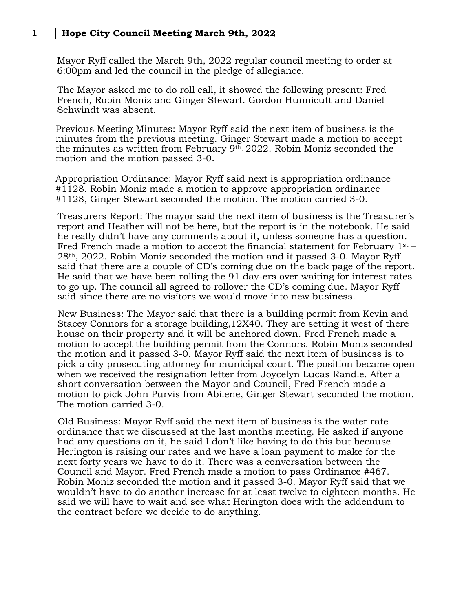## **1 Hope City Council Meeting March 9th, 2022**

Mayor Ryff called the March 9th, 2022 regular council meeting to order at 6:00pm and led the council in the pledge of allegiance.

The Mayor asked me to do roll call, it showed the following present: Fred French, Robin Moniz and Ginger Stewart. Gordon Hunnicutt and Daniel Schwindt was absent.

Previous Meeting Minutes: Mayor Ryff said the next item of business is the minutes from the previous meeting. Ginger Stewart made a motion to accept the minutes as written from February 9th, 2022. Robin Moniz seconded the motion and the motion passed 3-0.

Appropriation Ordinance: Mayor Ryff said next is appropriation ordinance #1128. Robin Moniz made a motion to approve appropriation ordinance #1128, Ginger Stewart seconded the motion. The motion carried 3-0.

Treasurers Report: The mayor said the next item of business is the Treasurer's report and Heather will not be here, but the report is in the notebook. He said he really didn't have any comments about it, unless someone has a question. Fred French made a motion to accept the financial statement for February 1st – 28th, 2022. Robin Moniz seconded the motion and it passed 3-0. Mayor Ryff said that there are a couple of CD's coming due on the back page of the report. He said that we have been rolling the 91 day-ers over waiting for interest rates to go up. The council all agreed to rollover the CD's coming due. Mayor Ryff said since there are no visitors we would move into new business.

New Business: The Mayor said that there is a building permit from Kevin and Stacey Connors for a storage building,12X40. They are setting it west of there house on their property and it will be anchored down. Fred French made a motion to accept the building permit from the Connors. Robin Moniz seconded the motion and it passed 3-0. Mayor Ryff said the next item of business is to pick a city prosecuting attorney for municipal court. The position became open when we received the resignation letter from Joycelyn Lucas Randle. After a short conversation between the Mayor and Council, Fred French made a motion to pick John Purvis from Abilene, Ginger Stewart seconded the motion. The motion carried 3-0.

Old Business: Mayor Ryff said the next item of business is the water rate ordinance that we discussed at the last months meeting. He asked if anyone had any questions on it, he said I don't like having to do this but because Herington is raising our rates and we have a loan payment to make for the next forty years we have to do it. There was a conversation between the Council and Mayor. Fred French made a motion to pass Ordinance #467. Robin Moniz seconded the motion and it passed 3-0. Mayor Ryff said that we wouldn't have to do another increase for at least twelve to eighteen months. He said we will have to wait and see what Herington does with the addendum to the contract before we decide to do anything.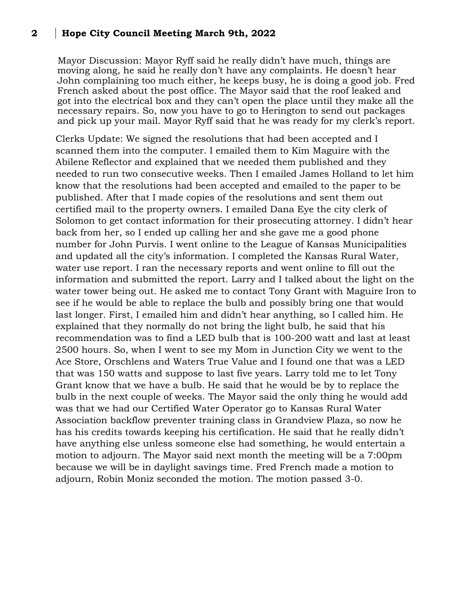## **2 Hope City Council Meeting March 9th, 2022**

Mayor Discussion: Mayor Ryff said he really didn't have much, things are moving along, he said he really don't have any complaints. He doesn't hear John complaining too much either, he keeps busy, he is doing a good job. Fred French asked about the post office. The Mayor said that the roof leaked and got into the electrical box and they can't open the place until they make all the necessary repairs. So, now you have to go to Herington to send out packages and pick up your mail. Mayor Ryff said that he was ready for my clerk's report.

Clerks Update: We signed the resolutions that had been accepted and I scanned them into the computer. I emailed them to Kim Maguire with the Abilene Reflector and explained that we needed them published and they needed to run two consecutive weeks. Then I emailed James Holland to let him know that the resolutions had been accepted and emailed to the paper to be published. After that I made copies of the resolutions and sent them out certified mail to the property owners. I emailed Dana Eye the city clerk of Solomon to get contact information for their prosecuting attorney. I didn't hear back from her, so I ended up calling her and she gave me a good phone number for John Purvis. I went online to the League of Kansas Municipalities and updated all the city's information. I completed the Kansas Rural Water, water use report. I ran the necessary reports and went online to fill out the information and submitted the report. Larry and I talked about the light on the water tower being out. He asked me to contact Tony Grant with Maguire Iron to see if he would be able to replace the bulb and possibly bring one that would last longer. First, I emailed him and didn't hear anything, so I called him. He explained that they normally do not bring the light bulb, he said that his recommendation was to find a LED bulb that is 100-200 watt and last at least 2500 hours. So, when I went to see my Mom in Junction City we went to the Ace Store, Orschlens and Waters True Value and I found one that was a LED that was 150 watts and suppose to last five years. Larry told me to let Tony Grant know that we have a bulb. He said that he would be by to replace the bulb in the next couple of weeks. The Mayor said the only thing he would add was that we had our Certified Water Operator go to Kansas Rural Water Association backflow preventer training class in Grandview Plaza, so now he has his credits towards keeping his certification. He said that he really didn't have anything else unless someone else had something, he would entertain a motion to adjourn. The Mayor said next month the meeting will be a 7:00pm because we will be in daylight savings time. Fred French made a motion to adjourn, Robin Moniz seconded the motion. The motion passed 3-0.